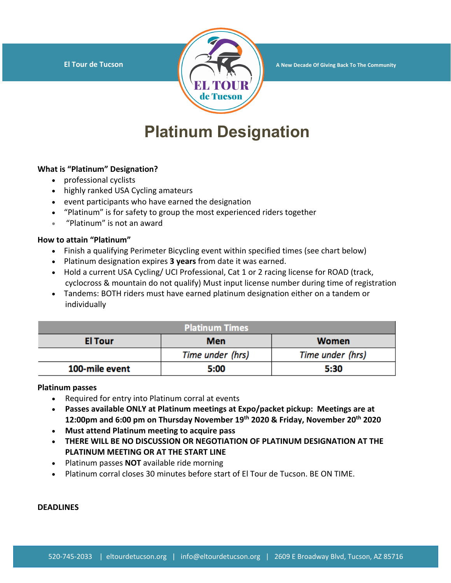

**El Tour de Tucson A New Decade Of Giving Back To The Community** 

# **Platinum Designation**

### **What is "Platinum" Designation?**

- professional cyclists
- highly ranked USA Cycling amateurs
- event participants who have earned the designation
- "Platinum" is for safety to group the most experienced riders together
- "Platinum" is not an award

### **How to attain "Platinum"**

- Finish a qualifying Perimeter Bicycling event within specified times (see chart below)
- Platinum designation expires **3 years** from date it was earned.
- Hold a current USA Cycling/ UCI Professional, Cat 1 or 2 racing license for ROAD (track, cyclocross & mountain do not qualify) Must input license number during time of registration
- Tandems: BOTH riders must have earned platinum designation either on a tandem or individually

| <b>Platinum Times</b> |                  |                  |
|-----------------------|------------------|------------------|
| <b>El Tour</b>        | <b>Men</b>       | <b>Women</b>     |
|                       | Time under (hrs) | Time under (hrs) |
| 100-mile event        | 5:00             | 5:30             |

## **Platinum passes**

- Required for entry into Platinum corral at events
- **Passes available ONLY at Platinum meetings at Expo/packet pickup: Meetings are at 12:00pm and 6:00 pm on Thursday November 19th 2020 & Friday, November 20th 2020**
- **Must attend Platinum meeting to acquire pass**
- **THERE WILL BE NO DISCUSSION OR NEGOTIATION OF PLATINUM DESIGNATION AT THE PLATINUM MEETING OR AT THE START LINE**
- Platinum passes **NOT** available ride morning
- Platinum corral closes 30 minutes before start of El Tour de Tucson. BE ON TIME.

#### **DEADLINES**